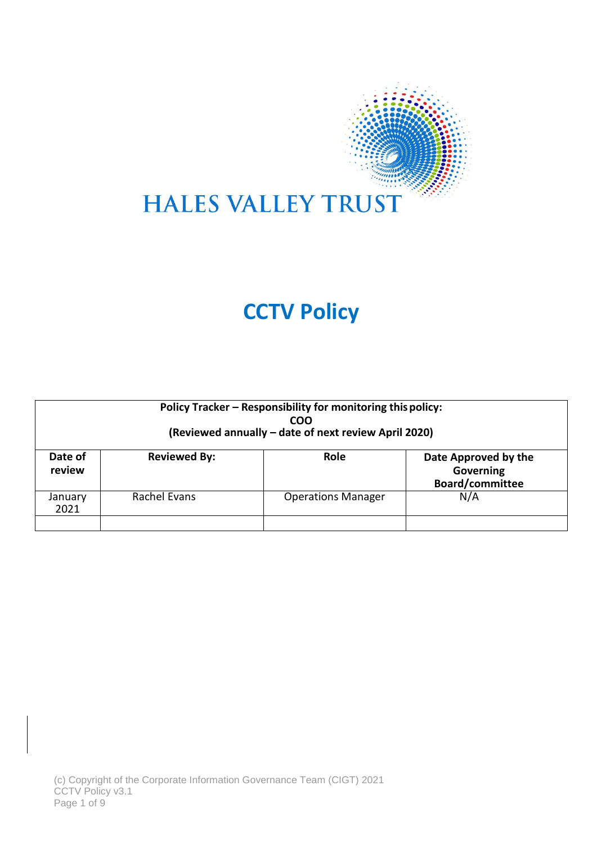

# **CCTV Policy**

| Policy Tracker - Responsibility for monitoring this policy:<br><b>COO</b><br>(Reviewed annually - date of next review April 2020) |                     |                           |                                                             |
|-----------------------------------------------------------------------------------------------------------------------------------|---------------------|---------------------------|-------------------------------------------------------------|
| Date of<br>review                                                                                                                 | <b>Reviewed By:</b> | Role                      | Date Approved by the<br>Governing<br><b>Board/committee</b> |
| January<br>2021                                                                                                                   | Rachel Evans        | <b>Operations Manager</b> | N/A                                                         |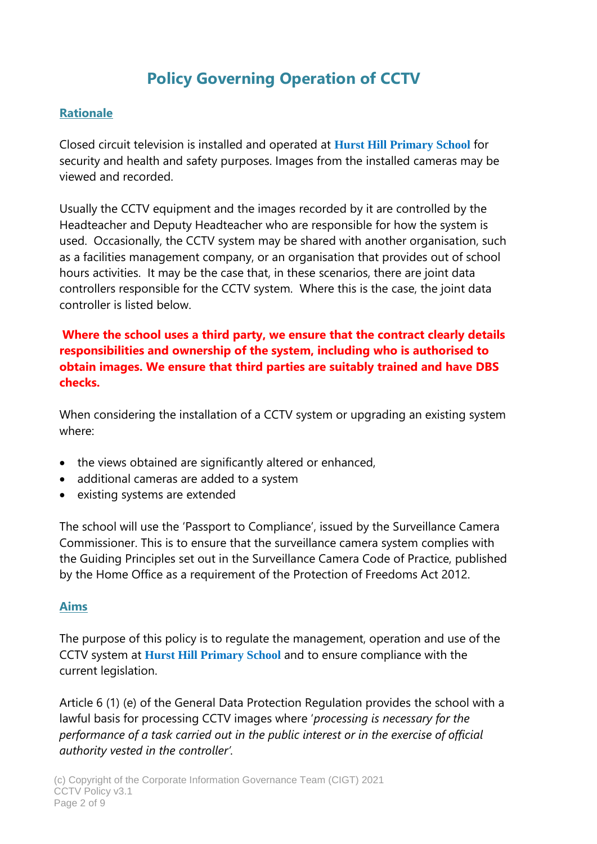# **Policy Governing Operation of CCTV**

# **Rationale**

Closed circuit television is installed and operated at **Hurst Hill Primary School** for security and health and safety purposes. Images from the installed cameras may be viewed and recorded.

Usually the CCTV equipment and the images recorded by it are controlled by the Headteacher and Deputy Headteacher who are responsible for how the system is used. Occasionally, the CCTV system may be shared with another organisation, such as a facilities management company, or an organisation that provides out of school hours activities. It may be the case that, in these scenarios, there are joint data controllers responsible for the CCTV system. Where this is the case, the joint data controller is listed below.

**Where the school uses a third party, we ensure that the contract clearly details responsibilities and ownership of the system, including who is authorised to obtain images. We ensure that third parties are suitably trained and have DBS checks.**

When considering the installation of a CCTV system or upgrading an existing system where:

- the views obtained are significantly altered or enhanced,
- additional cameras are added to a system
- existing systems are extended

The school will use the 'Passport to Compliance', issued by the Surveillance Camera Commissioner. This is to ensure that the surveillance camera system complies with the Guiding Principles set out in the Surveillance Camera Code of Practice, published by the Home Office as a requirement of the Protection of Freedoms Act 2012.

# **Aims**

The purpose of this policy is to regulate the management, operation and use of the CCTV system at **Hurst Hill Primary School** and to ensure compliance with the current legislation.

Article 6 (1) (e) of the General Data Protection Regulation provides the school with a lawful basis for processing CCTV images where '*processing is necessary for the performance of a task carried out in the public interest or in the exercise of official authority vested in the controller'.*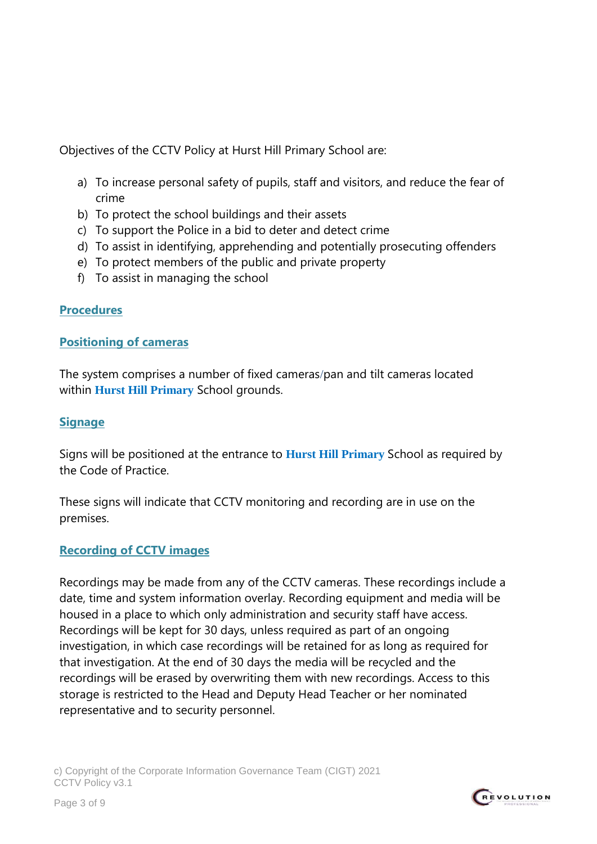Objectives of the CCTV Policy at Hurst Hill Primary School are:

- a) To increase personal safety of pupils, staff and visitors, and reduce the fear of crime
- b) To protect the school buildings and their assets
- c) To support the Police in a bid to deter and detect crime
- d) To assist in identifying, apprehending and potentially prosecuting offenders
- e) To protect members of the public and private property
- f) To assist in managing the school

# **Procedures**

# **Positioning of cameras**

The system comprises a number of fixed cameras/pan and tilt cameras located within **Hurst Hill Primary** School grounds.

# **Signage**

Signs will be positioned at the entrance to **Hurst Hill Primary** School as required by the Code of Practice.

These signs will indicate that CCTV monitoring and recording are in use on the premises.

# **Recording of CCTV images**

Recordings may be made from any of the CCTV cameras. These recordings include a date, time and system information overlay. Recording equipment and media will be housed in a place to which only administration and security staff have access. Recordings will be kept for 30 days, unless required as part of an ongoing investigation, in which case recordings will be retained for as long as required for that investigation. At the end of 30 days the media will be recycled and the recordings will be erased by overwriting them with new recordings. Access to this storage is restricted to the Head and Deputy Head Teacher or her nominated representative and to security personnel.

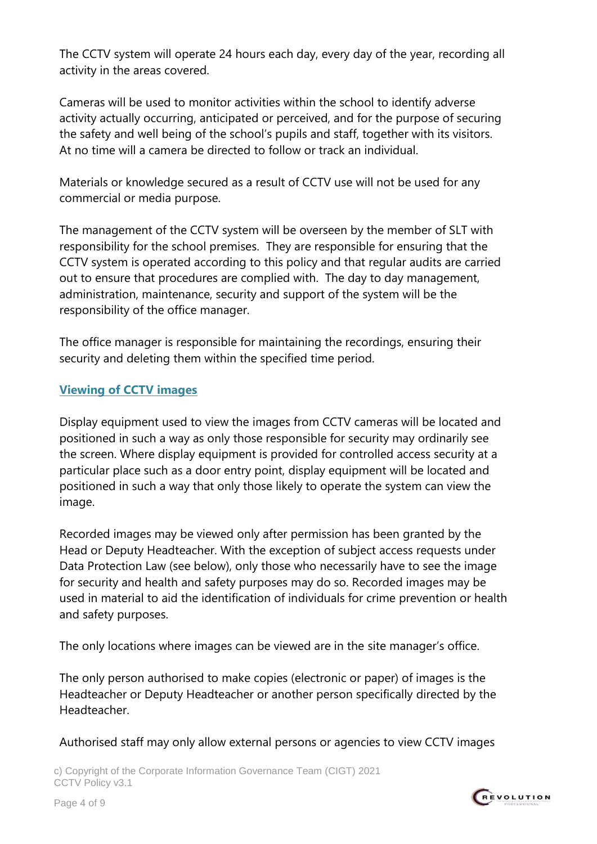The CCTV system will operate 24 hours each day, every day of the year, recording all activity in the areas covered.

Cameras will be used to monitor activities within the school to identify adverse activity actually occurring, anticipated or perceived, and for the purpose of securing the safety and well being of the school's pupils and staff, together with its visitors. At no time will a camera be directed to follow or track an individual.

Materials or knowledge secured as a result of CCTV use will not be used for any commercial or media purpose.

The management of the CCTV system will be overseen by the member of SLT with responsibility for the school premises. They are responsible for ensuring that the CCTV system is operated according to this policy and that regular audits are carried out to ensure that procedures are complied with. The day to day management, administration, maintenance, security and support of the system will be the responsibility of the office manager.

The office manager is responsible for maintaining the recordings, ensuring their security and deleting them within the specified time period.

# **Viewing of CCTV images**

Display equipment used to view the images from CCTV cameras will be located and positioned in such a way as only those responsible for security may ordinarily see the screen. Where display equipment is provided for controlled access security at a particular place such as a door entry point, display equipment will be located and positioned in such a way that only those likely to operate the system can view the image.

Recorded images may be viewed only after permission has been granted by the Head or Deputy Headteacher. With the exception of subject access requests under Data Protection Law (see below), only those who necessarily have to see the image for security and health and safety purposes may do so. Recorded images may be used in material to aid the identification of individuals for crime prevention or health and safety purposes.

The only locations where images can be viewed are in the site manager's office.

The only person authorised to make copies (electronic or paper) of images is the Headteacher or Deputy Headteacher or another person specifically directed by the Headteacher.

Authorised staff may only allow external persons or agencies to view CCTV images

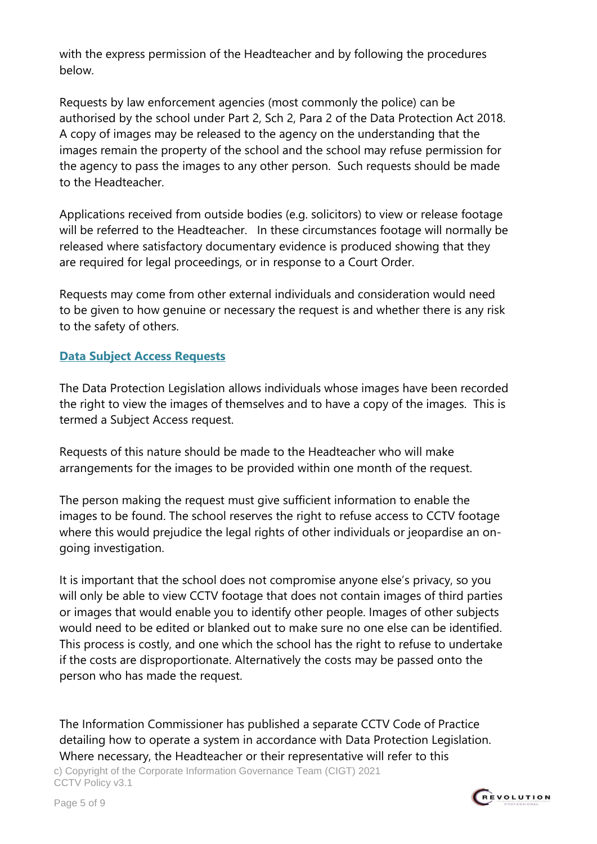with the express permission of the Headteacher and by following the procedures below.

Requests by law enforcement agencies (most commonly the police) can be authorised by the school under Part 2, Sch 2, Para 2 of the Data Protection Act 2018. A copy of images may be released to the agency on the understanding that the images remain the property of the school and the school may refuse permission for the agency to pass the images to any other person. Such requests should be made to the Headteacher.

Applications received from outside bodies (e.g. solicitors) to view or release footage will be referred to the Headteacher. In these circumstances footage will normally be released where satisfactory documentary evidence is produced showing that they are required for legal proceedings, or in response to a Court Order.

Requests may come from other external individuals and consideration would need to be given to how genuine or necessary the request is and whether there is any risk to the safety of others.

# **Data Subject Access Requests**

The Data Protection Legislation allows individuals whose images have been recorded the right to view the images of themselves and to have a copy of the images. This is termed a Subject Access request.

Requests of this nature should be made to the Headteacher who will make arrangements for the images to be provided within one month of the request.

The person making the request must give sufficient information to enable the images to be found. The school reserves the right to refuse access to CCTV footage where this would prejudice the legal rights of other individuals or jeopardise an ongoing investigation.

It is important that the school does not compromise anyone else's privacy, so you will only be able to view CCTV footage that does not contain images of third parties or images that would enable you to identify other people. Images of other subjects would need to be edited or blanked out to make sure no one else can be identified. This process is costly, and one which the school has the right to refuse to undertake if the costs are disproportionate. Alternatively the costs may be passed onto the person who has made the request.

The Information Commissioner has published a separate CCTV Code of Practice detailing how to operate a system in accordance with Data Protection Legislation. Where necessary, the Headteacher or their representative will refer to this

c) Copyright of the Corporate Information Governance Team (CIGT) 2021 CCTV Policy v3.1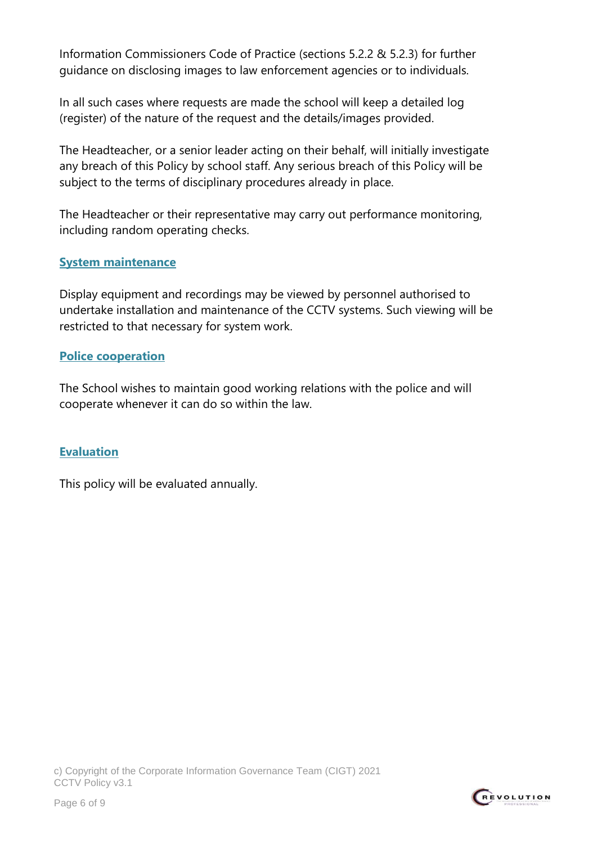Information Commissioners Code of Practice (sections 5.2.2 & 5.2.3) for further guidance on disclosing images to law enforcement agencies or to individuals.

In all such cases where requests are made the school will keep a detailed log (register) of the nature of the request and the details/images provided.

The Headteacher, or a senior leader acting on their behalf, will initially investigate any breach of this Policy by school staff. Any serious breach of this Policy will be subject to the terms of disciplinary procedures already in place.

The Headteacher or their representative may carry out performance monitoring, including random operating checks.

# **System maintenance**

Display equipment and recordings may be viewed by personnel authorised to undertake installation and maintenance of the CCTV systems. Such viewing will be restricted to that necessary for system work.

# **Police cooperation**

The School wishes to maintain good working relations with the police and will cooperate whenever it can do so within the law.

# **Evaluation**

This policy will be evaluated annually.

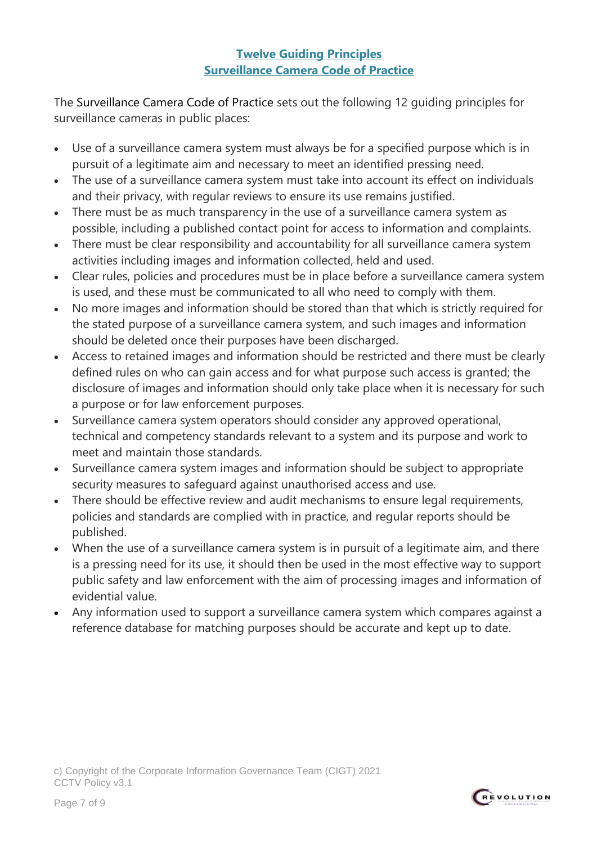# **Twelve Guiding Principles Surveillance Camera Code of Practice**

The Surveillance Camera Code of Practice sets out the following 12 guiding principles for surveillance cameras in public places:

- Use of a surveillance camera system must always be for a specified purpose which is in pursuit of a legitimate aim and necessary to meet an identified pressing need.
- The use of a surveillance camera system must take into account its effect on individuals and their privacy, with regular reviews to ensure its use remains justified.
- There must be as much transparency in the use of a surveillance camera system as possible, including a published contact point for access to information and complaints.
- There must be clear responsibility and accountability for all surveillance camera system activities including images and information collected, held and used.
- Clear rules, policies and procedures must be in place before a surveillance camera system is used, and these must be communicated to all who need to comply with them.
- No more images and information should be stored than that which is strictly required for the stated purpose of a surveillance camera system, and such images and information should be deleted once their purposes have been discharged.
- Access to retained images and information should be restricted and there must be clearly defined rules on who can gain access and for what purpose such access is granted; the disclosure of images and information should only take place when it is necessary for such a purpose or for law enforcement purposes.
- Surveillance camera system operators should consider any approved operational, technical and competency standards relevant to a system and its purpose and work to meet and maintain those standards.
- Surveillance camera system images and information should be subject to appropriate security measures to safeguard against unauthorised access and use.
- There should be effective review and audit mechanisms to ensure legal requirements, policies and standards are complied with in practice, and regular reports should be published.
- When the use of a surveillance camera system is in pursuit of a legitimate aim, and there is a pressing need for its use, it should then be used in the most effective way to support public safety and law enforcement with the aim of processing images and information of evidential value.
- Any information used to support a surveillance camera system which compares against a reference database for matching purposes should be accurate and kept up to date.



Page 7 of 9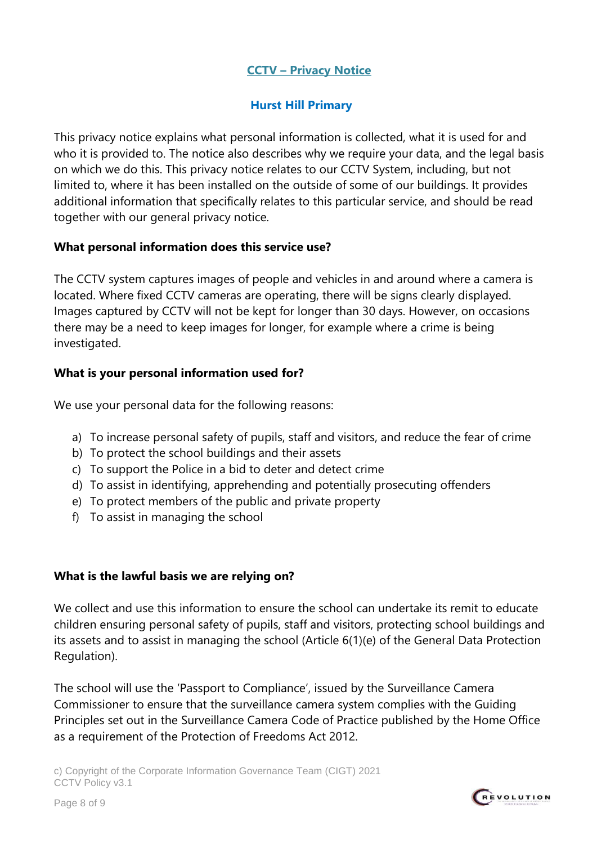# **CCTV – Privacy Notice**

# **Hurst Hill Primary**

This privacy notice explains what personal information is collected, what it is used for and who it is provided to. The notice also describes why we require your data, and the legal basis on which we do this. This privacy notice relates to our CCTV System, including, but not limited to, where it has been installed on the outside of some of our buildings. It provides additional information that specifically relates to this particular service, and should be read together with our general privacy notice.

# **What personal information does this service use?**

The CCTV system captures images of people and vehicles in and around where a camera is located. Where fixed CCTV cameras are operating, there will be signs clearly displayed. Images captured by CCTV will not be kept for longer than 30 days. However, on occasions there may be a need to keep images for longer, for example where a crime is being investigated.

# **What is your personal information used for?**

We use your personal data for the following reasons:

- a) To increase personal safety of pupils, staff and visitors, and reduce the fear of crime
- b) To protect the school buildings and their assets
- c) To support the Police in a bid to deter and detect crime
- d) To assist in identifying, apprehending and potentially prosecuting offenders
- e) To protect members of the public and private property
- f) To assist in managing the school

# **What is the lawful basis we are relying on?**

We collect and use this information to ensure the school can undertake its remit to educate children ensuring personal safety of pupils, staff and visitors, protecting school buildings and its assets and to assist in managing the school (Article 6(1)(e) of the General Data Protection Regulation).

The school will use the 'Passport to Compliance', issued by the Surveillance Camera Commissioner to ensure that the surveillance camera system complies with the Guiding Principles set out in the Surveillance Camera Code of Practice published by the Home Office as a requirement of the Protection of Freedoms Act 2012.



Page 8 of 9